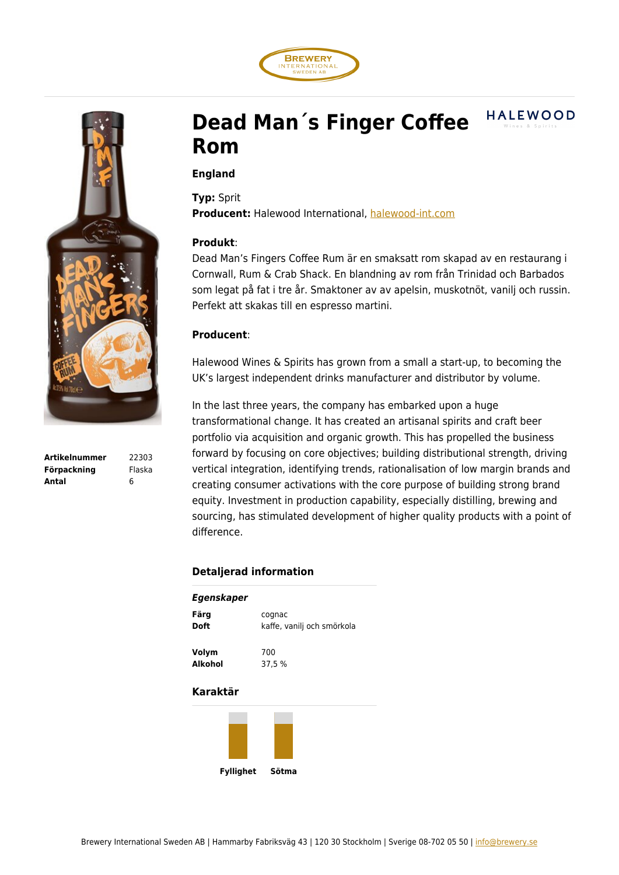



**Artikelnummer** 22303 **Förpackning** Flaska **Antal** 6

# **HALEWOOD Dead Man´s Finger Coffee Rom**

### **England**

**Typ:** Sprit **Producent:** Halewood International, [halewood-int.com](http://halewood-int.com/)

#### **Produkt**:

Dead Man's Fingers Coffee Rum är en smaksatt rom skapad av en restaurang i Cornwall, Rum & Crab Shack. En blandning av rom från Trinidad och Barbados som legat på fat i tre år. Smaktoner av av apelsin, muskotnöt, vanilj och russin. Perfekt att skakas till en espresso martini.

## **Producent**:

Halewood Wines & Spirits has grown from a small a start-up, to becoming the UK's largest independent drinks manufacturer and distributor by volume.

In the last three years, the company has embarked upon a huge transformational change. It has created an artisanal spirits and craft beer portfolio via acquisition and organic growth. This has propelled the business forward by focusing on core objectives; building distributional strength, driving vertical integration, identifying trends, rationalisation of low margin brands and creating consumer activations with the core purpose of building strong brand equity. Investment in production capability, especially distilling, brewing and sourcing, has stimulated development of higher quality products with a point of difference.

## **Detaljerad information**

| Egenskaper |                            |
|------------|----------------------------|
| Färg       | cognac                     |
| Doft       | kaffe, vanilj och smörkola |
| Volym      | 700                        |
| Alkohol    | 37.5 %                     |
|            |                            |

#### **Karaktär**